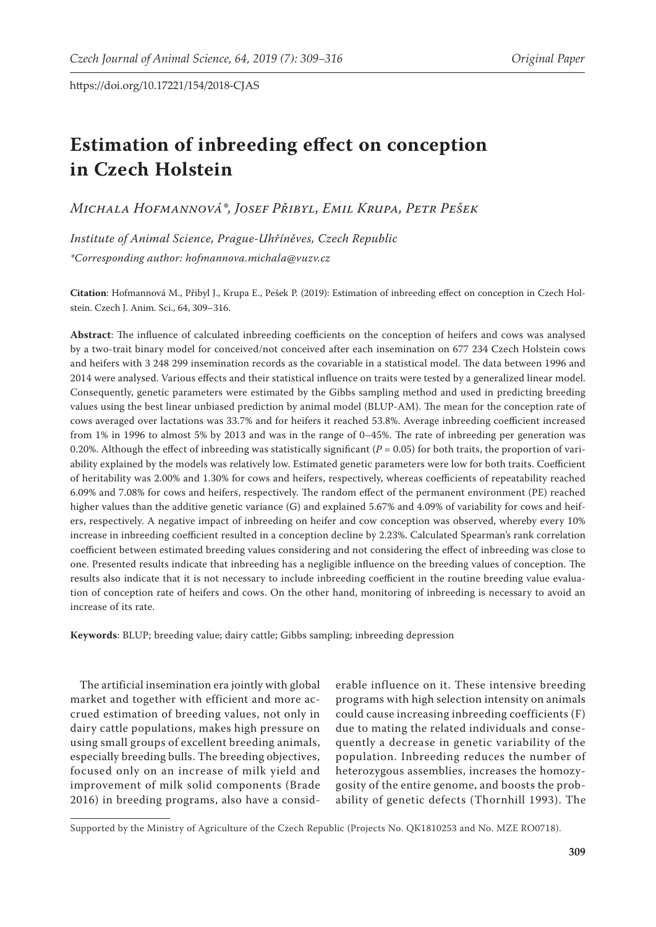# **Estimation of inbreeding effect on conception in Czech Holstein**

*Michala Hofmannová\*, Josef Přibyl, Emil Krupa, Petr Pešek*

*Institute of Animal Science, Prague-Uhříněves, Czech Republic \*Corresponding author: hofmannova.michala@vuzv.cz* 

**Citation**: Hofmannová M., Přibyl J., Krupa E., Pešek P. (2019): Estimation of inbreeding effect on conception in Czech Holstein. Czech J. Anim. Sci., 64, 309–316.

**Abstract**: The influence of calculated inbreeding coefficients on the conception of heifers and cows was analysed by a two-trait binary model for conceived/not conceived after each insemination on 677 234 Czech Holstein cows and heifers with 3 248 299 insemination records as the covariable in a statistical model. The data between 1996 and 2014 were analysed. Various effects and their statistical influence on traits were tested by a generalized linear model. Consequently, genetic parameters were estimated by the Gibbs sampling method and used in predicting breeding values using the best linear unbiased prediction by animal model (BLUP-AM). The mean for the conception rate of cows averaged over lactations was 33.7% and for heifers it reached 53.8%. Average inbreeding coefficient increased from 1% in 1996 to almost 5% by 2013 and was in the range of 0–45%. The rate of inbreeding per generation was 0.20%. Although the effect of inbreeding was statistically significant (*P* = 0.05) for both traits, the proportion of variability explained by the models was relatively low. Estimated genetic parameters were low for both traits. Coefficient of heritability was 2.00% and 1.30% for cows and heifers, respectively, whereas coefficients of repeatability reached 6.09% and 7.08% for cows and heifers, respectively. The random effect of the permanent environment (PE) reached higher values than the additive genetic variance (G) and explained 5.67% and 4.09% of variability for cows and heifers, respectively. A negative impact of inbreeding on heifer and cow conception was observed, whereby every 10% increase in inbreeding coefficient resulted in a conception decline by 2.23%. Calculated Spearman's rank correlation coefficient between estimated breeding values considering and not considering the effect of inbreeding was close to one. Presented results indicate that inbreeding has a negligible influence on the breeding values of conception. The results also indicate that it is not necessary to include inbreeding coefficient in the routine breeding value evaluation of conception rate of heifers and cows. On the other hand, monitoring of inbreeding is necessary to avoid an increase of its rate.

**Keywords**: BLUP; breeding value; dairy cattle; Gibbs sampling; inbreeding depression

The artificial insemination era jointly with global market and together with efficient and more accrued estimation of breeding values, not only in dairy cattle populations, makes high pressure on using small groups of excellent breeding animals, especially breeding bulls. The breeding objectives, focused only on an increase of milk yield and improvement of milk solid components (Brade 2016) in breeding programs, also have a consid-

erable influence on it. These intensive breeding programs with high selection intensity on animals could cause increasing inbreeding coefficients (F) due to mating the related individuals and consequently a decrease in genetic variability of the population. Inbreeding reduces the number of heterozygous assemblies, increases the homozygosity of the entire genome, and boosts the probability of genetic defects (Thornhill 1993). The

Supported by the Ministry of Agriculture of the Czech Republic (Projects No. QK1810253 and No. MZE RO0718).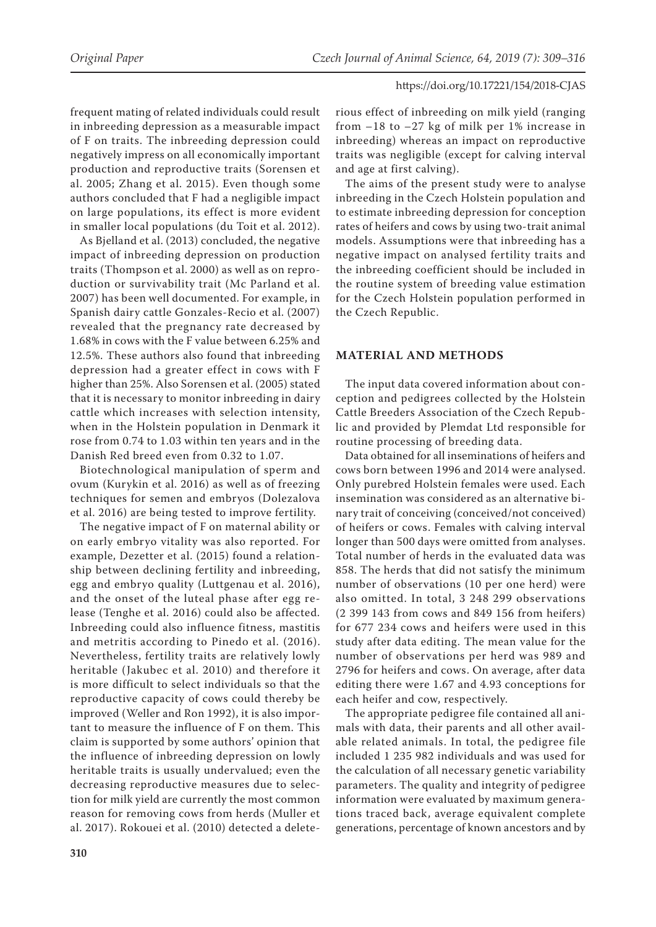frequent mating of related individuals could result in inbreeding depression as a measurable impact of F on traits. The inbreeding depression could negatively impress on all economically important production and reproductive traits (Sorensen et al. 2005; Zhang et al. 2015). Even though some authors concluded that F had a negligible impact on large populations, its effect is more evident in smaller local populations (du Toit et al. 2012).

As Bjelland et al. (2013) concluded, the negative impact of inbreeding depression on production traits (Thompson et al. 2000) as well as on reproduction or survivability trait (Mc Parland et al. 2007) has been well documented. For example, in Spanish dairy cattle Gonzales-Recio et al. (2007) revealed that the pregnancy rate decreased by 1.68% in cows with the F value between 6.25% and 12.5%. These authors also found that inbreeding depression had a greater effect in cows with F higher than 25%. Also Sorensen et al. (2005) stated that it is necessary to monitor inbreeding in dairy cattle which increases with selection intensity, when in the Holstein population in Denmark it rose from 0.74 to 1.03 within ten years and in the Danish Red breed even from 0.32 to 1.07.

Biotechnological manipulation of sperm and ovum (Kurykin et al. 2016) as well as of freezing techniques for semen and embryos (Dolezalova et al. 2016) are being tested to improve fertility.

The negative impact of F on maternal ability or on early embryo vitality was also reported. For example, Dezetter et al. (2015) found a relationship between declining fertility and inbreeding, egg and embryo quality (Luttgenau et al. 2016), and the onset of the luteal phase after egg release (Tenghe et al. 2016) could also be affected. Inbreeding could also influence fitness, mastitis and metritis according to Pinedo et al. (2016). Nevertheless, fertility traits are relatively lowly heritable (Jakubec et al. 2010) and therefore it is more difficult to select individuals so that the reproductive capacity of cows could thereby be improved (Weller and Ron 1992), it is also important to measure the influence of F on them. This claim is supported by some authors' opinion that the influence of inbreeding depression on lowly heritable traits is usually undervalued; even the decreasing reproductive measures due to selection for milk yield are currently the most common reason for removing cows from herds (Muller et al. 2017). Rokouei et al. (2010) detected a delete-

rious effect of inbreeding on milk yield (ranging from –18 to –27 kg of milk per 1% increase in inbreeding) whereas an impact on reproductive traits was negligible (except for calving interval and age at first calving).

The aims of the present study were to analyse inbreeding in the Czech Holstein population and to estimate inbreeding depression for conception rates of heifers and cows by using two-trait animal models. Assumptions were that inbreeding has a negative impact on analysed fertility traits and the inbreeding coefficient should be included in the routine system of breeding value estimation for the Czech Holstein population performed in the Czech Republic.

# **MATERIAL AND METHODS**

The input data covered information about conception and pedigrees collected by the Holstein Cattle Breeders Association of the Czech Republic and provided by Plemdat Ltd responsible for routine processing of breeding data.

Data obtained for all inseminations of heifers and cows born between 1996 and 2014 were analysed. Only purebred Holstein females were used. Each insemination was considered as an alternative binary trait of conceiving (conceived/not conceived) of heifers or cows. Females with calving interval longer than 500 days were omitted from analyses. Total number of herds in the evaluated data was 858. The herds that did not satisfy the minimum number of observations (10 per one herd) were also omitted. In total, 3 248 299 observations (2 399 143 from cows and 849 156 from heifers) for 677 234 cows and heifers were used in this study after data editing. The mean value for the number of observations per herd was 989 and 2796 for heifers and cows. On average, after data editing there were 1.67 and 4.93 conceptions for each heifer and cow, respectively.

The appropriate pedigree file contained all animals with data, their parents and all other available related animals. In total, the pedigree file included 1 235 982 individuals and was used for the calculation of all necessary genetic variability parameters. The quality and integrity of pedigree information were evaluated by maximum generations traced back, average equivalent complete generations, percentage of known ancestors and by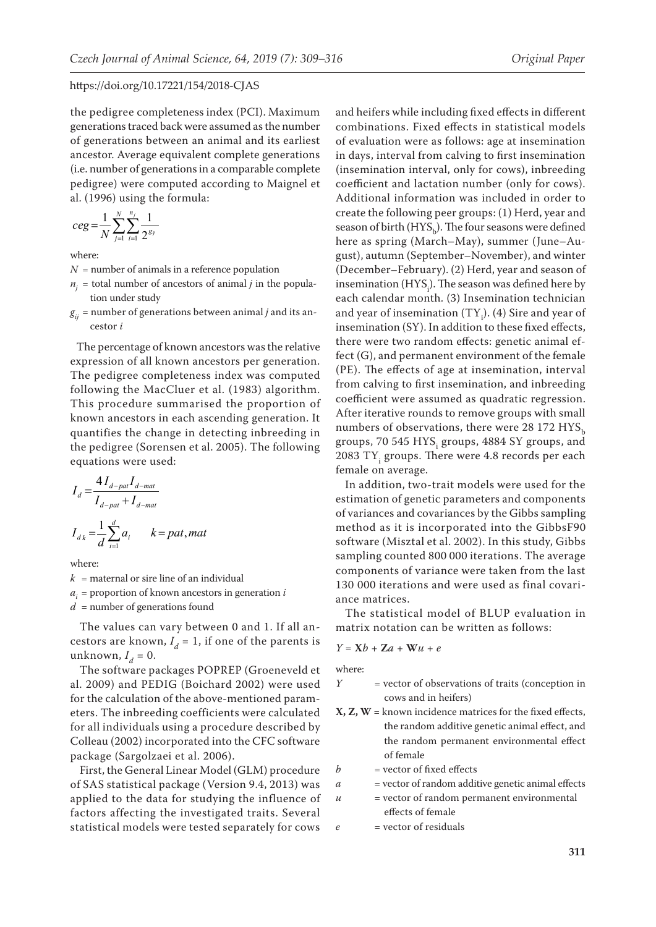the pedigree completeness index (PCI). Maximum generations traced back were assumed as the number of generations between an animal and its earliest ancestor. Average equivalent complete generations (i.e. number of generations in a comparable complete pedigree) were computed according to Maignel et al. (1996) using the formula:

$$
ceg = \frac{1}{N} \sum_{j=1}^{N} \sum_{i=1}^{n_j} \frac{1}{2^{g_j}}
$$

where:

- $N =$  number of animals in a reference population
- $n_i$  = total number of ancestors of animal *j* in the population under study
- $g_{ii}$  = number of generations between animal *j* and its ancestor *i*

The percentage of known ancestors was the relative expression of all known ancestors per generation. The pedigree completeness index was computed following the MacCluer et al. (1983) algorithm. This procedure summarised the proportion of known ancestors in each ascending generation. It quantifies the change in detecting inbreeding in the pedigree (Sorensen et al. 2005). The following equations were used:

$$
I_d = \frac{4I_{d-pat}I_{d-mat}}{I_{d-pat} + I_{d-mat}}
$$
  

$$
I_{d_k} = \frac{1}{d} \sum_{i=1}^{d} a_i \qquad k = pat, mat
$$

where:

 $k =$  maternal or sire line of an individual

 $a_i$  = proportion of known ancestors in generation *i* 

*d* = number of generations found

The values can vary between 0 and 1. If all ancestors are known,  $I_d = 1$ , if one of the parents is unknown,  $I_d = 0$ .

The software packages POPREP (Groeneveld et al. 2009) and PEDIG (Boichard 2002) were used for the calculation of the above-mentioned parameters. The inbreeding coefficients were calculated for all individuals using a procedure described by Colleau (2002) incorporated into the CFC software package (Sargolzaei et al. 2006).

First, the General Linear Model (GLM) procedure of SAS statistical package (Version 9.4, 2013) was applied to the data for studying the influence of factors affecting the investigated traits. Several statistical models were tested separately for cows

and heifers while including fixed effects in different combinations. Fixed effects in statistical models of evaluation were as follows: age at insemination in days, interval from calving to first insemination (insemination interval, only for cows), inbreeding coefficient and lactation number (only for cows). Additional information was included in order to create the following peer groups: (1) Herd, year and season of birth  $(HYS<sub>b</sub>)$ . The four seasons were defined here as spring (March–May), summer (June–August), autumn (September–November), and winter (December–February). (2) Herd, year and season of insemination ( $HYS<sub>i</sub>$ ). The season was defined here by each calendar month. (3) Insemination technician and year of insemination  $(TY_i)$ . (4) Sire and year of insemination (SY). In addition to these fixed effects, there were two random effects: genetic animal effect (G), and permanent environment of the female (PE). The effects of age at insemination, interval from calving to first insemination, and inbreeding coefficient were assumed as quadratic regression. After iterative rounds to remove groups with small numbers of observations, there were 28 172  $HYS<sub>b</sub>$ groups, 70 545  $HYS<sub>i</sub>$  groups, 4884 SY groups, and  $2083$  TY<sub>i</sub> groups. There were 4.8 records per each female on average.

In addition, two-trait models were used for the estimation of genetic parameters and components of variances and covariances by the Gibbs sampling method as it is incorporated into the GibbsF90 software (Misztal et al. 2002). In this study, Gibbs sampling counted 800 000 iterations. The average components of variance were taken from the last 130 000 iterations and were used as final covariance matrices.

The statistical model of BLUP evaluation in matrix notation can be written as follows:

$$
Y = \mathbf{X}b + \mathbf{Z}a + \mathbf{W}u + e
$$

where:

- *Y* = vector of observations of traits (conception in cows and in heifers)
- **X, Z, W** = known incidence matrices for the fixed effects, the random additive genetic animal effect, and the random permanent environmental effect of female
- $b$  = vector of fixed effects
- *a* = vector of random additive genetic animal effects
- *= vector of random permanent environmental* 
	- effects of female
- *e* = vector of residuals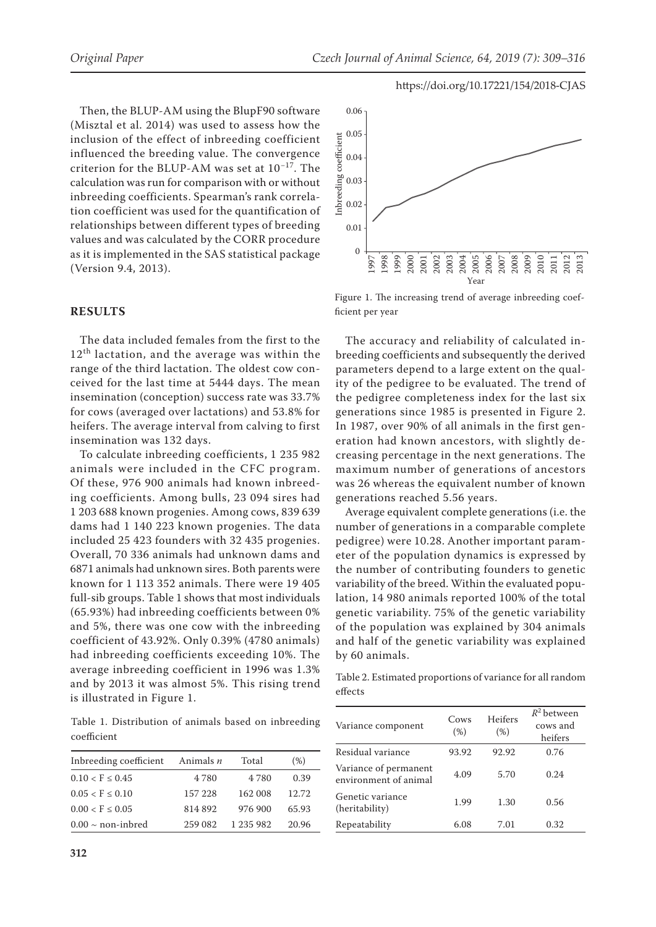Then, the BLUP-AM using the BlupF90 software (Misztal et al. 2014) was used to assess how the inclusion of the effect of inbreeding coefficient influenced the breeding value. The convergence criterion for the BLUP-AM was set at 10−17. The calculation was run for comparison with or without inbreeding coefficients. Spearman's rank correlation coefficient was used for the quantification of relationships between different types of breeding values and was calculated by the CORR procedure as it is implemented in the SAS statistical package (Version 9.4, 2013).

#### **RESULTS**

The data included females from the first to the 12<sup>th</sup> lactation, and the average was within the range of the third lactation. The oldest cow conceived for the last time at 5444 days. The mean insemination (conception) success rate was 33.7% for cows (averaged over lactations) and 53.8% for heifers. The average interval from calving to first insemination was 132 days.

To calculate inbreeding coefficients, 1 235 982 animals were included in the CFC program. Of these, 976 900 animals had known inbreeding coefficients. Among bulls, 23 094 sires had 1 203 688 known progenies. Among cows, 839 639 dams had 1 140 223 known progenies. The data included 25 423 founders with 32 435 progenies. Overall, 70 336 animals had unknown dams and 6871 animals had unknown sires. Both parents were known for 1 113 352 animals. There were 19 405 full-sib groups. Table 1 shows that most individuals (65.93%) had inbreeding coefficients between 0% and 5%, there was one cow with the inbreeding coefficient of 43.92%. Only 0.39% (4780 animals) had inbreeding coefficients exceeding 10%. The average inbreeding coefficient in 1996 was 1.3% and by 2013 it was almost 5%. This rising trend is illustrated in Figure 1.

Table 1. Distribution of animals based on inbreeding coefficient

| Indeeding coefficient Animals $n$ |         | Total     | (% )  |
|-----------------------------------|---------|-----------|-------|
| $0.10 < F \leq 0.45$              | 4 7 8 0 | 4.780     | 0.39  |
| $0.05 < F \leq 0.10$              | 157 228 | 162 008   | 12.72 |
| $0.00 < F \leq 0.05$              | 814892  | 976 900   | 65.93 |
| $0.00 \sim$ non-inbred            | 259 082 | 1 235 982 | 20.96 |



Figure 1. The increasing trend of average inbreeding coefficient per year

The accuracy and reliability of calculated inbreeding coefficients and subsequently the derived parameters depend to a large extent on the quality of the pedigree to be evaluated. The trend of the pedigree completeness index for the last six generations since 1985 is presented in Figure 2. In 1987, over 90% of all animals in the first generation had known ancestors, with slightly decreasing percentage in the next generations. The maximum number of generations of ancestors was 26 whereas the equivalent number of known generations reached 5.56 years.

Average equivalent complete generations (i.e. the number of generations in a comparable complete pedigree) were 10.28. Another important parameter of the population dynamics is expressed by the number of contributing founders to genetic variability of the breed. Within the evaluated population, 14 980 animals reported 100% of the total genetic variability. 75% of the genetic variability of the population was explained by 304 animals and half of the genetic variability was explained by 60 animals.

Table 2. Estimated proportions of variance for all random effects

| Variance component                             | Cows<br>(% ) | Heifers<br>(% ) | $R^2$ between<br>cows and<br>heifers |
|------------------------------------------------|--------------|-----------------|--------------------------------------|
| Residual variance                              | 93.92        | 92.92           | 0.76                                 |
| Variance of permanent<br>environment of animal | 4.09         | 5.70            | 0.24                                 |
| Genetic variance<br>(heritability)             | 1.99         | 1.30            | 0.56                                 |
| Repeatability                                  | 6.08         | 7.01            | 0.32                                 |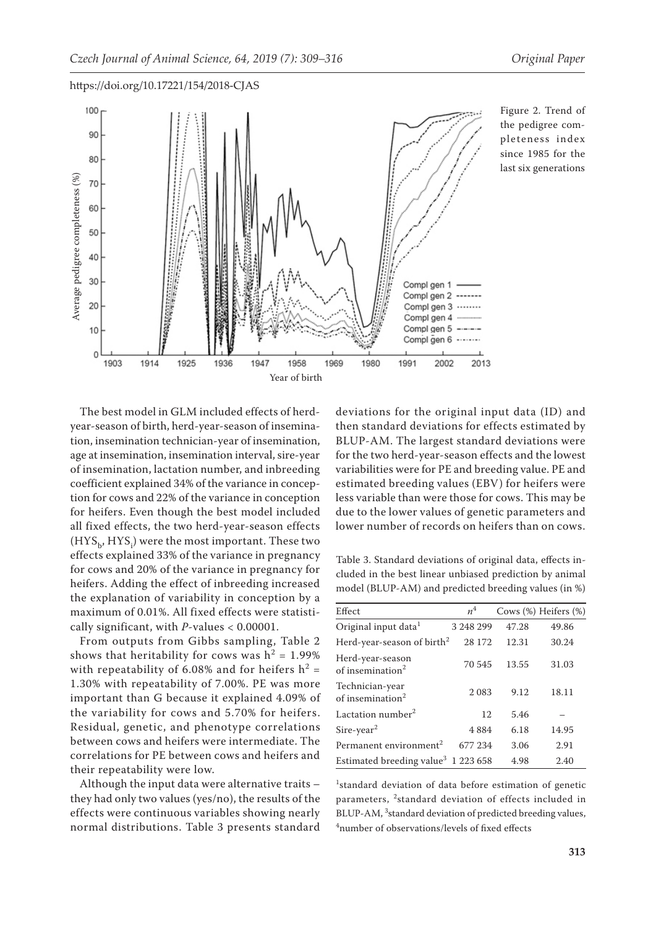

Figure 2. Trend of the pedigree completeness index since 1985 for the last six generations

The best model in GLM included effects of herdyear-season of birth, herd-year-season of insemination, insemination technician-year of insemination, age at insemination, insemination interval, sire-year of insemination, lactation number, and inbreeding coefficient explained 34% of the variance in conception for cows and 22% of the variance in conception for heifers. Even though the best model included all fixed effects, the two herd-year-season effects  $(\text{HYS}_{\text{b}}, \text{HYS}_{\text{i}})$  were the most important. These two effects explained 33% of the variance in pregnancy for cows and 20% of the variance in pregnancy for heifers. Adding the effect of inbreeding increased the explanation of variability in conception by a maximum of 0.01%. All fixed effects were statistically significant, with *P*-values < 0.00001.

From outputs from Gibbs sampling, Table 2 shows that heritability for cows was  $h^2 = 1.99\%$ with repeatability of 6.08% and for heifers  $h^2 =$ 1.30% with repeatability of 7.00%. PE was more important than G because it explained 4.09% of the variability for cows and 5.70% for heifers. Residual, genetic, and phenotype correlations between cows and heifers were intermediate. The correlations for PE between cows and heifers and their repeatability were low.

Although the input data were alternative traits – they had only two values (yes/no), the results of the effects were continuous variables showing nearly normal distributions. Table 3 presents standard

deviations for the original input data (ID) and then standard deviations for effects estimated by BLUP-AM. The largest standard deviations were for the two herd-year-season effects and the lowest variabilities were for PE and breeding value. PE and estimated breeding values (EBV) for heifers were less variable than were those for cows. This may be due to the lower values of genetic parameters and lower number of records on heifers than on cows.

Table 3. Standard deviations of original data, effects included in the best linear unbiased prediction by animal model (BLUP-AM) and predicted breeding values (in %)

| Effect                                           | n <sup>4</sup> |       | Cows (%) Heifers (%) |
|--------------------------------------------------|----------------|-------|----------------------|
| Original input data <sup>1</sup>                 | 3 248 299      | 47.28 | 49.86                |
| Herd-year-season of birth <sup>2</sup>           | 28 172         | 12.31 | 30.24                |
| Herd-year-season<br>of insemination <sup>2</sup> | 70 545         | 13.55 | 31.03                |
| Technician-year<br>of insemination <sup>2</sup>  | 2 0 8 3        | 9.12  | 18.11                |
| Lactation number <sup>2</sup>                    | 12             | 5.46  |                      |
| $Sire-year2$                                     | 4884           | 6.18  | 14.95                |
| Permanent environment <sup>2</sup>               | 677 234        | 3.06  | 2.91                 |
| Estimated breeding value <sup>3</sup> 1 223 658  |                | 4.98  | 2.40                 |

<sup>1</sup>standard deviation of data before estimation of genetic parameters, <sup>2</sup>standard deviation of effects included in BLUP-AM, <sup>3</sup> standard deviation of predicted breeding values, 4 number of observations/levels of fixed effects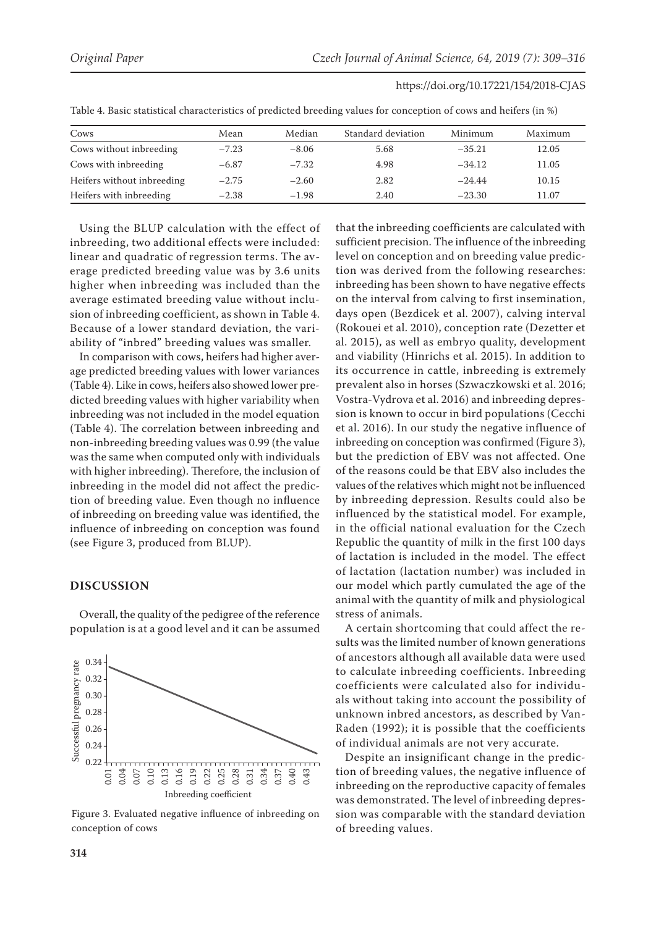| Cows                       | Mean    | Median  | Standard deviation | Minimum  | Maximum |
|----------------------------|---------|---------|--------------------|----------|---------|
| Cows without inbreeding    | $-7.23$ | $-8.06$ | 5.68               | $-35.21$ | 12.05   |
| Cows with inbreeding       | $-6.87$ | $-7.32$ | 4.98               | $-34.12$ | 11.05   |
| Heifers without inbreeding | $-2.75$ | $-2.60$ | 2.82               | $-24.44$ | 10.15   |
| Heifers with inbreeding    | $-2.38$ | $-1.98$ | 2.40               | $-23.30$ | 11.07   |

Table 4. Basic statistical characteristics of predicted breeding values for conception of cows and heifers (in %)

Using the BLUP calculation with the effect of inbreeding, two additional effects were included: linear and quadratic of regression terms. The average predicted breeding value was by 3.6 units higher when inbreeding was included than the average estimated breeding value without inclusion of inbreeding coefficient, as shown in Table 4. Because of a lower standard deviation, the variability of "inbred" breeding values was smaller.

In comparison with cows, heifers had higher average predicted breeding values with lower variances (Table 4). Like in cows, heifers also showed lower predicted breeding values with higher variability when inbreeding was not included in the model equation (Table 4). The correlation between inbreeding and non-inbreeding breeding values was 0.99 (the value was the same when computed only with individuals with higher inbreeding). Therefore, the inclusion of inbreeding in the model did not affect the prediction of breeding value. Even though no influence of inbreeding on breeding value was identified, the influence of inbreeding on conception was found (see Figure 3, produced from BLUP).

# **DISCUSSION**



Overall, the quality of the pedigree of the reference population is at a good level and it can be assumed

Figure 3. Evaluated negative influence of inbreeding on conception of cows

that the inbreeding coefficients are calculated with sufficient precision. The influence of the inbreeding level on conception and on breeding value prediction was derived from the following researches: inbreeding has been shown to have negative effects on the interval from calving to first insemination, days open (Bezdicek et al. 2007), calving interval (Rokouei et al. 2010), conception rate (Dezetter et al. 2015), as well as embryo quality, development and viability (Hinrichs et al. 2015). In addition to its occurrence in cattle, inbreeding is extremely prevalent also in horses (Szwaczkowski et al. 2016; Vostra-Vydrova et al. 2016) and inbreeding depression is known to occur in bird populations (Cecchi et al. 2016). In our study the negative influence of inbreeding on conception was confirmed (Figure 3), but the prediction of EBV was not affected. One of the reasons could be that EBV also includes the values of the relatives which might not be influenced by inbreeding depression. Results could also be influenced by the statistical model. For example, in the official national evaluation for the Czech Republic the quantity of milk in the first 100 days of lactation is included in the model. The effect of lactation (lactation number) was included in our model which partly cumulated the age of the animal with the quantity of milk and physiological stress of animals.

A certain shortcoming that could affect the results was the limited number of known generations of ancestors although all available data were used to calculate inbreeding coefficients. Inbreeding coefficients were calculated also for individuals without taking into account the possibility of unknown inbred ancestors, as described by Van-Raden (1992); it is possible that the coefficients of individual animals are not very accurate.

Despite an insignificant change in the prediction of breeding values, the negative influence of inbreeding on the reproductive capacity of females was demonstrated. The level of inbreeding depression was comparable with the standard deviation of breeding values.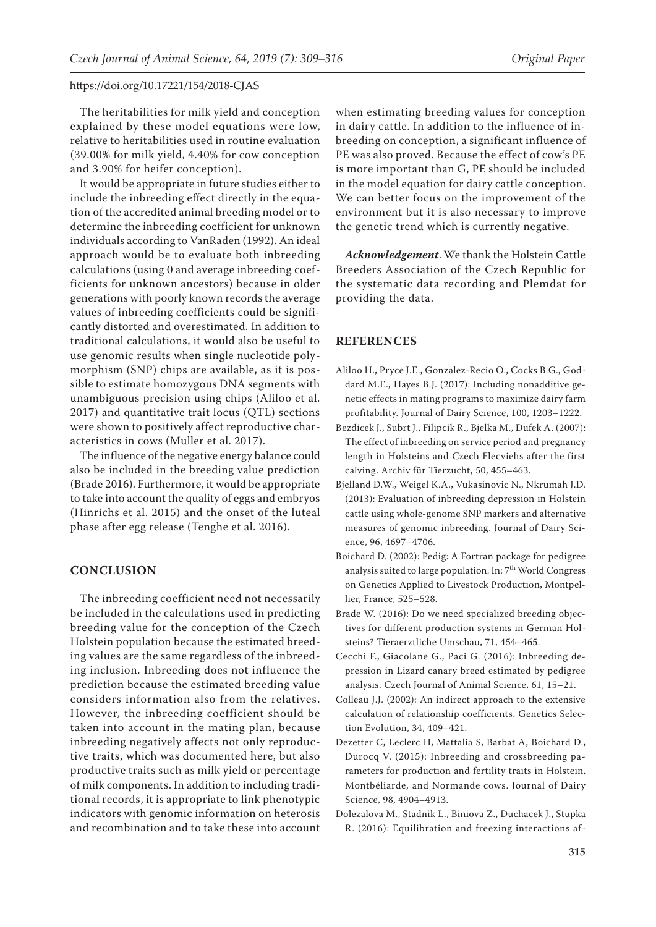The heritabilities for milk yield and conception explained by these model equations were low, relative to heritabilities used in routine evaluation (39.00% for milk yield, 4.40% for cow conception and 3.90% for heifer conception).

It would be appropriate in future studies either to include the inbreeding effect directly in the equation of the accredited animal breeding model or to determine the inbreeding coefficient for unknown individuals according to VanRaden (1992). An ideal approach would be to evaluate both inbreeding calculations (using 0 and average inbreeding coefficients for unknown ancestors) because in older generations with poorly known records the average values of inbreeding coefficients could be significantly distorted and overestimated. In addition to traditional calculations, it would also be useful to use genomic results when single nucleotide polymorphism (SNP) chips are available, as it is possible to estimate homozygous DNA segments with unambiguous precision using chips (Aliloo et al. 2017) and quantitative trait locus (QTL) sections were shown to positively affect reproductive characteristics in cows (Muller et al. 2017).

The influence of the negative energy balance could also be included in the breeding value prediction (Brade 2016). Furthermore, it would be appropriate to take into account the quality of eggs and embryos (Hinrichs et al. 2015) and the onset of the luteal phase after egg release (Tenghe et al. 2016).

### **CONCLUSION**

The inbreeding coefficient need not necessarily be included in the calculations used in predicting breeding value for the conception of the Czech Holstein population because the estimated breeding values are the same regardless of the inbreeding inclusion. Inbreeding does not influence the prediction because the estimated breeding value considers information also from the relatives. However, the inbreeding coefficient should be taken into account in the mating plan, because inbreeding negatively affects not only reproductive traits, which was documented here, but also productive traits such as milk yield or percentage of milk components. In addition to including traditional records, it is appropriate to link phenotypic indicators with genomic information on heterosis and recombination and to take these into account

when estimating breeding values for conception in dairy cattle. In addition to the influence of inbreeding on conception, a significant influence of PE was also proved. Because the effect of cow's PE is more important than G, PE should be included in the model equation for dairy cattle conception. We can better focus on the improvement of the environment but it is also necessary to improve the genetic trend which is currently negative.

*Acknowledgement*. We thank the Holstein Cattle Breeders Association of the Czech Republic for the systematic data recording and Plemdat for providing the data.

#### **REFERENCES**

- Aliloo H., Pryce J.E., Gonzalez-Recio O., Cocks B.G., Goddard M.E., Hayes B.J. (2017): Including nonadditive genetic effects in mating programs to maximize dairy farm profitability. Journal of Dairy Science, 100, 1203–1222.
- Bezdicek J., Subrt J., Filipcik R., Bjelka M., Dufek A. (2007): The effect of inbreeding on service period and pregnancy length in Holsteins and Czech Flecviehs after the first calving. Archiv für Tierzucht, 50, 455–463.
- Bjelland D.W., Weigel K.A., Vukasinovic N., Nkrumah J.D. (2013): Evaluation of inbreeding depression in Holstein cattle using whole-genome SNP markers and alternative measures of genomic inbreeding. Journal of Dairy Science, 96, 4697–4706.
- Boichard D. (2002): Pedig: A Fortran package for pedigree analysis suited to large population. In:  $7^{\rm th}$  World Congress on Genetics Applied to Livestock Production, Montpellier, France, 525–528.
- Brade W. (2016): Do we need specialized breeding objectives for different production systems in German Holsteins? Tieraerztliche Umschau, 71, 454–465.
- Cecchi F., Giacolane G., Paci G. (2016): Inbreeding depression in Lizard canary breed estimated by pedigree analysis. Czech Journal of Animal Science, 61, 15–21.
- Colleau J.J. (2002): An indirect approach to the extensive calculation of relationship coefficients. Genetics Selection Evolution, 34, 409–421.
- Dezetter C, Leclerc H, Mattalia S, Barbat A, Boichard D., Durocq V. (2015): Inbreeding and crossbreeding parameters for production and fertility traits in Holstein, Montbéliarde, and Normande cows. Journal of Dairy Science, 98, 4904–4913.
- Dolezalova M., Stadnik L., Biniova Z., Duchacek J., Stupka R. (2016): Equilibration and freezing interactions af-